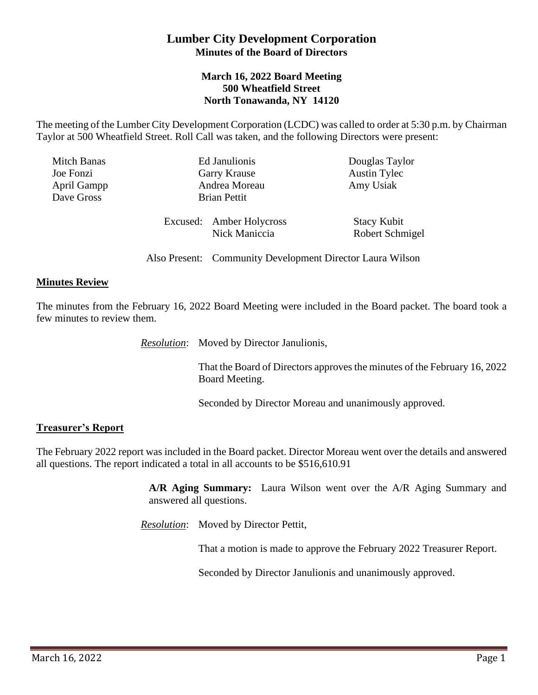# **Lumber City Development Corporation Minutes of the Board of Directors**

#### **March 16, 2022 Board Meeting 500 Wheatfield Street North Tonawanda, NY 14120**

The meeting of the Lumber City Development Corporation (LCDC) was called to order at 5:30 p.m. by Chairman Taylor at 500 Wheatfield Street. Roll Call was taken, and the following Directors were present:

| <b>Mitch Banas</b> | Ed Janulionis       |                                           | Douglas Taylor                        |
|--------------------|---------------------|-------------------------------------------|---------------------------------------|
| Joe Fonzi          | <b>Garry Krause</b> |                                           | <b>Austin Tylec</b>                   |
| April Gampp        | Andrea Moreau       |                                           | Amy Usiak                             |
| Dave Gross         |                     | <b>Brian Pettit</b>                       |                                       |
|                    |                     | Excused: Amber Holycross<br>Nick Maniccia | <b>Stacy Kubit</b><br>Robert Schmigel |

Also Present: Community Development Director Laura Wilson

#### **Minutes Review**

The minutes from the February 16, 2022 Board Meeting were included in the Board packet. The board took a few minutes to review them.

*Resolution*: Moved by Director Janulionis,

That the Board of Directors approves the minutes of the February 16, 2022 Board Meeting.

Seconded by Director Moreau and unanimously approved.

#### **Treasurer's Report**

The February 2022 report was included in the Board packet. Director Moreau went over the details and answered all questions. The report indicated a total in all accounts to be \$516,610.91

> **A/R Aging Summary:** Laura Wilson went over the A/R Aging Summary and answered all questions.

*Resolution*: Moved by Director Pettit,

That a motion is made to approve the February 2022 Treasurer Report.

Seconded by Director Janulionis and unanimously approved.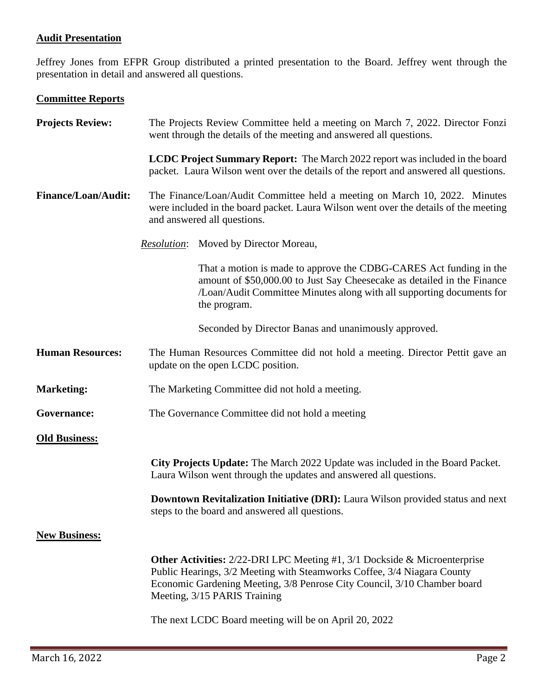### **Audit Presentation**

Jeffrey Jones from EFPR Group distributed a printed presentation to the Board. Jeffrey went through the presentation in detail and answered all questions.

# **Committee Reports**

| <b>Projects Review:</b>    | The Projects Review Committee held a meeting on March 7, 2022. Director Fonzi<br>went through the details of the meeting and answered all questions.                                                                                                                         |                                                                                                                                                                                                                                        |  |  |
|----------------------------|------------------------------------------------------------------------------------------------------------------------------------------------------------------------------------------------------------------------------------------------------------------------------|----------------------------------------------------------------------------------------------------------------------------------------------------------------------------------------------------------------------------------------|--|--|
|                            | <b>LCDC Project Summary Report:</b> The March 2022 report was included in the board<br>packet. Laura Wilson went over the details of the report and answered all questions.                                                                                                  |                                                                                                                                                                                                                                        |  |  |
| <b>Finance/Loan/Audit:</b> | The Finance/Loan/Audit Committee held a meeting on March 10, 2022. Minutes<br>were included in the board packet. Laura Wilson went over the details of the meeting<br>and answered all questions.                                                                            |                                                                                                                                                                                                                                        |  |  |
|                            | <i>Resolution:</i>                                                                                                                                                                                                                                                           | Moved by Director Moreau,                                                                                                                                                                                                              |  |  |
|                            |                                                                                                                                                                                                                                                                              | That a motion is made to approve the CDBG-CARES Act funding in the<br>amount of \$50,000.00 to Just Say Cheesecake as detailed in the Finance<br>/Loan/Audit Committee Minutes along with all supporting documents for<br>the program. |  |  |
|                            |                                                                                                                                                                                                                                                                              | Seconded by Director Banas and unanimously approved.                                                                                                                                                                                   |  |  |
| <b>Human Resources:</b>    | The Human Resources Committee did not hold a meeting. Director Pettit gave an<br>update on the open LCDC position.                                                                                                                                                           |                                                                                                                                                                                                                                        |  |  |
| <b>Marketing:</b>          | The Marketing Committee did not hold a meeting.                                                                                                                                                                                                                              |                                                                                                                                                                                                                                        |  |  |
| Governance:                | The Governance Committee did not hold a meeting                                                                                                                                                                                                                              |                                                                                                                                                                                                                                        |  |  |
| <b>Old Business:</b>       |                                                                                                                                                                                                                                                                              |                                                                                                                                                                                                                                        |  |  |
|                            | City Projects Update: The March 2022 Update was included in the Board Packet.<br>Laura Wilson went through the updates and answered all questions.                                                                                                                           |                                                                                                                                                                                                                                        |  |  |
|                            | <b>Downtown Revitalization Initiative (DRI):</b> Laura Wilson provided status and next<br>steps to the board and answered all questions.                                                                                                                                     |                                                                                                                                                                                                                                        |  |  |
| <b>New Business:</b>       |                                                                                                                                                                                                                                                                              |                                                                                                                                                                                                                                        |  |  |
|                            | <b>Other Activities:</b> $2/22$ -DRI LPC Meeting #1, $3/1$ Dockside & Microenterprise<br>Public Hearings, 3/2 Meeting with Steamworks Coffee, 3/4 Niagara County<br>Economic Gardening Meeting, 3/8 Penrose City Council, 3/10 Chamber board<br>Meeting, 3/15 PARIS Training |                                                                                                                                                                                                                                        |  |  |
|                            | The next LCDC Board meeting will be on April 20, 2022                                                                                                                                                                                                                        |                                                                                                                                                                                                                                        |  |  |